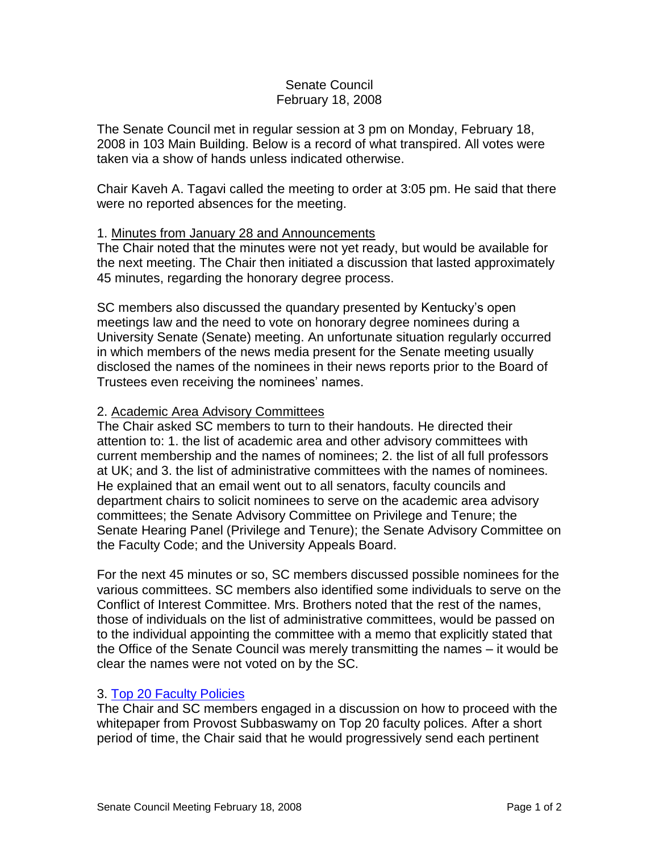# Senate Council February 18, 2008

The Senate Council met in regular session at 3 pm on Monday, February 18, 2008 in 103 Main Building. Below is a record of what transpired. All votes were taken via a show of hands unless indicated otherwise.

Chair Kaveh A. Tagavi called the meeting to order at 3:05 pm. He said that there were no reported absences for the meeting.

### 1. Minutes from January 28 and Announcements

The Chair noted that the minutes were not yet ready, but would be available for the next meeting. The Chair then initiated a discussion that lasted approximately 45 minutes, regarding the honorary degree process.

SC members also discussed the quandary presented by Kentucky's open meetings law and the need to vote on honorary degree nominees during a University Senate (Senate) meeting. An unfortunate situation regularly occurred in which members of the news media present for the Senate meeting usually disclosed the names of the nominees in their news reports prior to the Board of Trustees even receiving the nominees' names.

### 2. Academic Area Advisory Committees

The Chair asked SC members to turn to their handouts. He directed their attention to: 1. the list of academic area and other advisory committees with current membership and the names of nominees; 2. the list of all full professors at UK; and 3. the list of administrative committees with the names of nominees. He explained that an email went out to all senators, faculty councils and department chairs to solicit nominees to serve on the academic area advisory committees; the Senate Advisory Committee on Privilege and Tenure; the Senate Hearing Panel (Privilege and Tenure); the Senate Advisory Committee on the Faculty Code; and the University Appeals Board.

For the next 45 minutes or so, SC members discussed possible nominees for the various committees. SC members also identified some individuals to serve on the Conflict of Interest Committee. Mrs. Brothers noted that the rest of the names, those of individuals on the list of administrative committees, would be passed on to the individual appointing the committee with a memo that explicitly stated that the Office of the Senate Council was merely transmitting the names – it would be clear the names were not voted on by the SC.

### 3. [Top 20 Faculty Policies](http://www.uky.edu/USC/New/files/20080218/Top%2020%20Faculty%20Policies%20-%20procedural%20and%20process%20issues%20(version%201-30-08).pdf)

The Chair and SC members engaged in a discussion on how to proceed with the whitepaper from Provost Subbaswamy on Top 20 faculty polices. After a short period of time, the Chair said that he would progressively send each pertinent